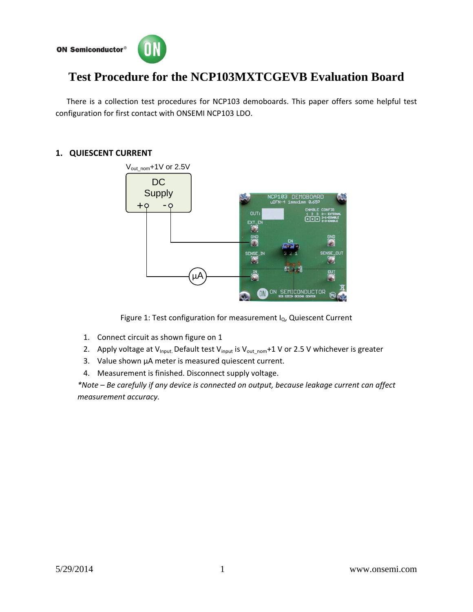



# **Test Procedure for the NCP103MXTCGEVB Evaluation Board**

There is a collection test procedures for NCP103 demoboards. This paper offers some helpful test configuration for first contact with ONSEMI NCP103 LDO.

## **1. QUIESCENT CURRENT**



Figure 1: Test configuration for measurement  $I<sub>Q</sub>$ , Quiescent Current

- 1. Connect circuit as shown figure on 1
- 2. Apply voltage at V<sub>Input</sub>. Default test V<sub>input</sub> is V<sub>outnom</sub>+1 V or 2.5 V whichever is greater
- 3. Value shown μA meter is measured quiescent current.
- 4. Measurement is finished. Disconnect supply voltage.

*\*Note – Be carefully if any device is connected on output, because leakage current can affect measurement accuracy.*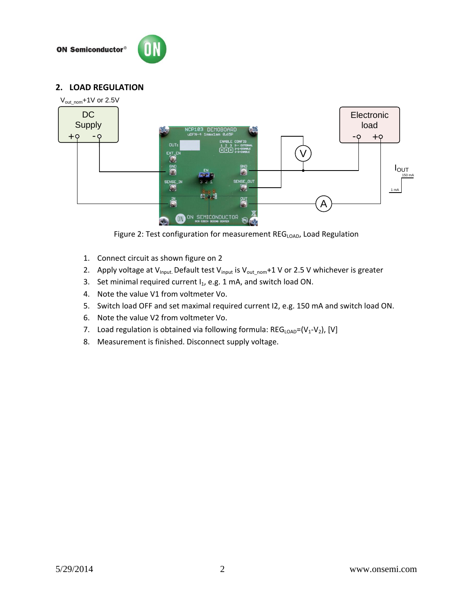**ON Semiconductor®** 



### **2. LOAD REGULATION**



Figure 2: Test configuration for measurement REG<sub>LOAD</sub>, Load Regulation

- 1. Connect circuit as shown figure on 2
- 2. Apply voltage at  $V_{input}$  Default test  $V_{input}$  is  $V_{out\_nom}$ +1 V or 2.5 V whichever is greater
- 3. Set minimal required current  $I_1$ , e.g. 1 mA, and switch load ON.
- 4. Note the value V1 from voltmeter Vo.
- 5. Switch load OFF and set maximal required current I2, e.g. 150 mA and switch load ON.
- 6. Note the value V2 from voltmeter Vo.
- 7. Load regulation is obtained via following formula:  $REG_{LOAD}=(V_1-V_2)$ , [V]
- 8. Measurement is finished. Disconnect supply voltage.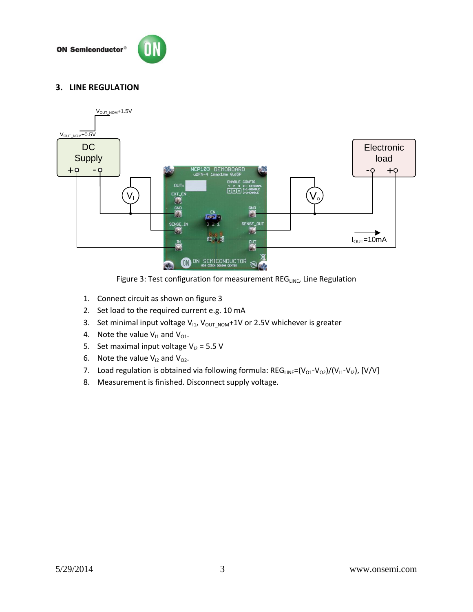**ON Semiconductor®** 



### **3. LINE REGULATION**



Figure 3: Test configuration for measurement REG<sub>LINE</sub>, Line Regulation

- 1. Connect circuit as shown on figure 3
- 2. Set load to the required current e.g. 10 mA
- 3. Set minimal input voltage  $V_{11}$ ,  $V_{OUT NOM}$ +1V or 2.5V whichever is greater
- 4. Note the value  $V_{11}$  and  $V_{01}$ .
- 5. Set maximal input voltage  $V_{12} = 5.5 V$
- 6. Note the value  $V_{12}$  and  $V_{02}$ .
- 7. Load regulation is obtained via following formula:  $REG_{LINE} = (V_{O1}-V_{O2})/(V_{11}-V_{12})$ , [V/V]
- 8. Measurement is finished. Disconnect supply voltage.